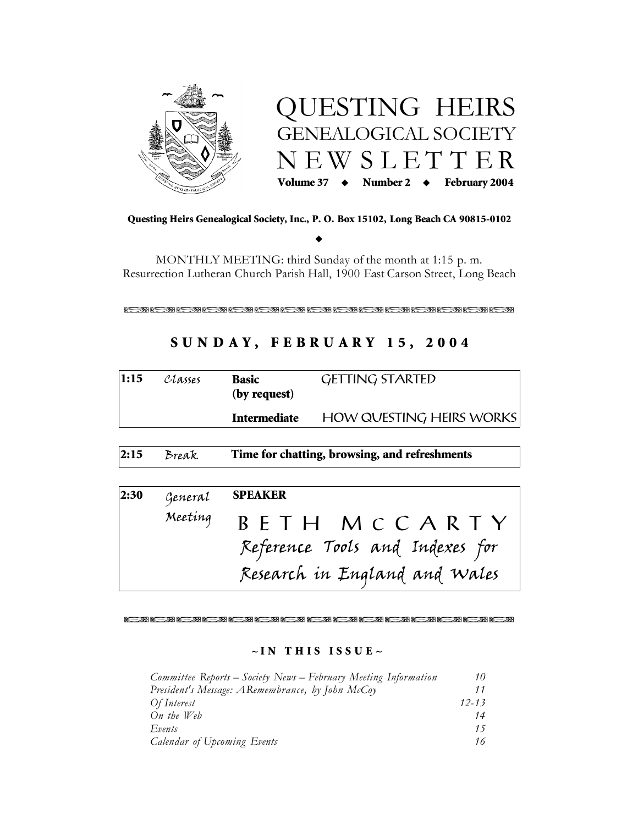



Questing Heirs Genealogical Society, Inc., P. O. Box 15102, Long Beach CA 90815-0102

MONTHLY MEETING: third Sunday of the month at 1:15 p.m. Resurrection Lutheran Church Parish Hall, 1900 East Carson Street, Long Beach

# SUNDAY, FEBRUARY 15, 2004

| 1:15 | Classes | <b>Basic</b><br>(by request)                  | <b>GETTING STARTED</b>                                                           |
|------|---------|-----------------------------------------------|----------------------------------------------------------------------------------|
|      |         | <b>Intermediate</b>                           | HOW QUESTING HEIRS WORKS                                                         |
| 2:15 | Break   | Time for chatting, browsing, and refreshments |                                                                                  |
| 2:30 | General | <b>SPEAKER</b>                                |                                                                                  |
|      | Meeting |                                               | BETH MCCARTY<br>Reference Tools and Indexes for<br>Research in England and Wales |

#### 8. 2018. 2018. 2018. 2018. 2018. 2018. 2018. 2018. 2018. 2018. 2018. 2018.

#### $\sim$  IN THIS ISSUE  $\sim$

| Committee Reports – Society News – February Meeting Information | 10        |
|-----------------------------------------------------------------|-----------|
| President's Message: ARemembrance, by John McCoy                |           |
| Of Interest                                                     | $12 - 13$ |
| On the Web                                                      | 14        |
| Events                                                          | 15        |
| Calendar of Upcoming Events                                     | 16        |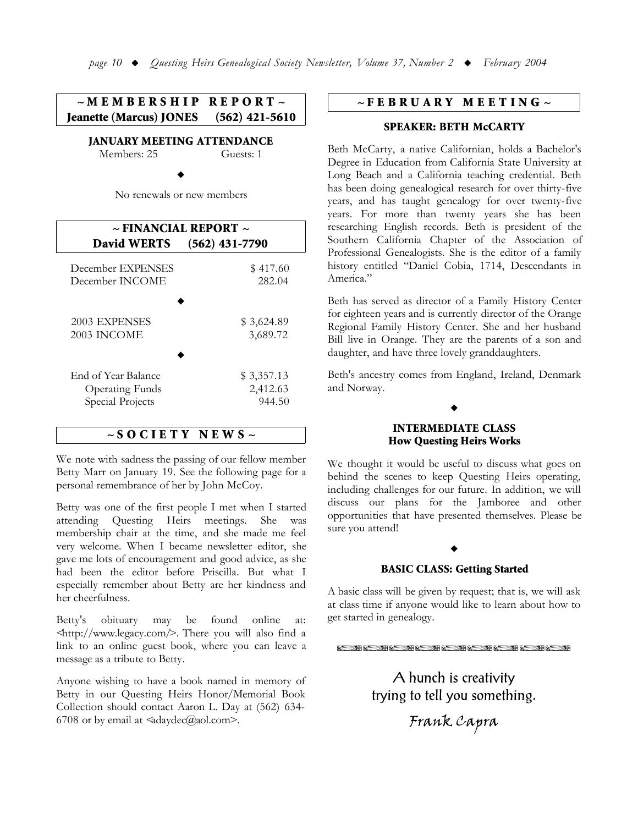$\sim M$  E M B E R S H I P R E P O R T  $\sim$ Jeanette (Marcus) JONES (562) 421-5610

**JANUARY MEETING ATTENDANCE** 

 $M$ embers: 25 Guests: 1

 $\blacklozenge$ 

No renewals or new members

| $\sim$ FINANCIAL REPORT $\sim$ |                  |  |  |
|--------------------------------|------------------|--|--|
| <b>David WERTS</b>             | $(562)$ 431-7790 |  |  |
| December EXPENSES              | \$417.60         |  |  |
| December INCOME                | 282.04           |  |  |
| 2003 EXPENSES                  | \$3,624.89       |  |  |
| 2003 INCOME                    | 3,689.72         |  |  |
| End of Year Balance            | \$3,357.13       |  |  |
| <b>Operating Funds</b>         | 2,412.63         |  |  |
| Special Projects               | 944.50           |  |  |

# $\sim$  SOCIETY NEWS  $\sim$

We note with sadness the passing of our fellow member Betty Marr on January 19. See the following page for a personal remembrance of her by John McCoy.

Betty was one of the first people I met when I started attending Questing Heirs meetings. She was membership chair at the time, and she made me feel very welcome. When I became newsletter editor, she gave me lots of encouragement and good advice, as she had been the editor before Priscilla. But what I especially remember about Betty are her kindness and her cheerfulness.

Betty's obituary may be found online at:  $\frac{1}{2}$   $\frac{1}{2}$   $\frac{1}{2}$   $\frac{1}{2}$   $\frac{1}{2}$   $\frac{1}{2}$   $\frac{1}{2}$   $\frac{1}{2}$   $\frac{1}{2}$   $\frac{1}{2}$   $\frac{1}{2}$   $\frac{1}{2}$   $\frac{1}{2}$   $\frac{1}{2}$   $\frac{1}{2}$   $\frac{1}{2}$   $\frac{1}{2}$   $\frac{1}{2}$   $\frac{1}{2}$   $\frac{1}{2}$   $\frac{1}{2}$   $\frac{1}{2}$  link to an online guest book, where you can leave a message as a tribute to Betty.

Anyone wishing to have a book named in memory of Betty in our Questing Heirs Honor/Memorial Book Collection should contact Aaron L. Day at (562) 634-6708 or by email at  $\triangleleft$ adaydec $(\widehat{a}/a$ aol.com>.

# $\sim$ FEBRUARY MEETING $\sim$

#### **SPEAKER: BETH McCARTY**

Beth McCarty, a native Californian, holds a Bachelor's Degree in Education from California State University at Long Beach and a California teaching credential. Beth has been doing genealogical research for over thirty-five years, and has taught genealogy for over twenty-five years. For more than twenty years she has been researching English records. Beth is president of the Southern California Chapter of the Association of Professional Genealogists. She is the editor of a family history entitled "Daniel Cobia, 1714, Descendants in America."

Beth has served as director of a Family History Center for eighteen years and is currently director of the Orange Regional Family History Center. She and her husband Bill live in Orange. They are the parents of a son and daughter, and have three lovely granddaughters.

Beth's ancestry comes from England, Ireland, Denmark and Norway.

# **INTERMEDIATE CLASS** How Questing Heirs Works

 $\blacklozenge$ 

We thought it would be useful to discuss what goes on behind the scenes to keep Questing Heirs operating, including challenges for our future. In addition, we will discuss our plans for the Jamboree and other opportunities that have presented themselves. Please be sure you attend!

# $\blacklozenge$ **BASIC CLASS: Getting Started**

A basic class will be given by request; that is, we will ask at class time if anyone would like to learn about how to get started in genealogy.

!!!!!!!!!

A hunch is creativity trying to tell you something.

Frank Capra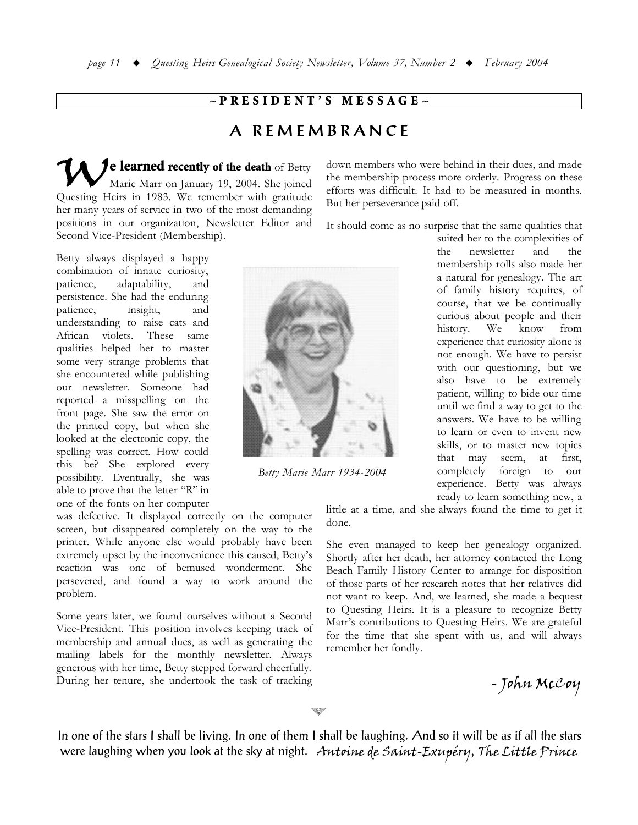# $\sim$ PRESIDENT'S MESSAGE $\sim$

# A REMEMBRANCE

Je learned recently of the death of Betty Marie Marr on January 19, 2004. She joined Questing Heirs in 1983. We remember with gratitude her many years of service in two of the most demanding positions in our organization, Newsletter Editor and Second Vice-President (Membership).

Betty always displayed a happy combination of innate curiosity, patience, adaptability, and persistence. She had the enduring patience, insight, and understanding to raise cats and African violets. These same qualities helped her to master some very strange problems that she encountered while publishing our newsletter. Someone had reported a misspelling on the front page. She saw the error on the printed copy, but when she looked at the electronic copy, the spelling was correct. How could this be? She explored every possibility. Eventually, she was able to prove that the letter "R" in one of the fonts on her computer



Betty Marie Marr 1934-2004

was defective. It displayed correctly on the computer screen, but disappeared completely on the way to the printer. While anyone else would probably have been extremely upset by the inconvenience this caused, Betty's reaction was one of bemused wonderment. She persevered, and found a way to work around the problem.

Some years later, we found ourselves without a Second Vice-President. This position involves keeping track of membership and annual dues, as well as generating the mailing labels for the monthly newsletter. Always generous with her time, Betty stepped forward cheerfully. During her tenure, she undertook the task of tracking

down members who were behind in their dues, and made the membership process more orderly. Progress on these efforts was difficult. It had to be measured in months. But her perseverance paid off.

It should come as no surprise that the same qualities that

suited her to the complexities of newsletter and  $the$ the membership rolls also made her a natural for genealogy. The art of family history requires, of course, that we be continually curious about people and their history. We know from experience that curiosity alone is not enough. We have to persist with our questioning, but we also have to be extremely patient, willing to bide our time until we find a way to get to the answers. We have to be willing to learn or even to invent new skills, or to master new topics that may seem, first, at completely foreign to our experience. Betty was always ready to learn something new, a

little at a time, and she always found the time to get it done.

She even managed to keep her genealogy organized. Shortly after her death, her attorney contacted the Long Beach Family History Center to arrange for disposition of those parts of her research notes that her relatives did not want to keep. And, we learned, she made a bequest to Questing Heirs. It is a pleasure to recognize Betty Marr's contributions to Questing Heirs. We are grateful for the time that she spent with us, and will always remember her fondly.

- John McCoy

In one of the stars I shall be living. In one of them I shall be laughing. And so it will be as if all the stars were laughing when you look at the sky at night. Antoine de Saint-Exupéry, The Little Prince

S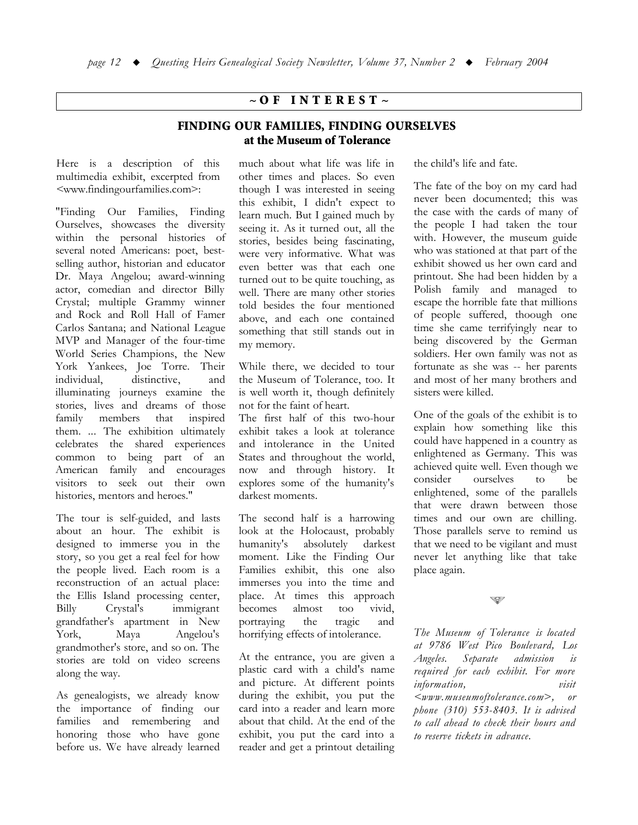# $\sim$  OF INTEREST  $\sim$

# FINDING OUR FAMILIES, FINDING OURSELVES at the Museum of Tolerance

Here is a description of this multimedia exhibit, excerpted from <www.findingourfamilies.com>:

"Finding Our Families, Finding Ourselves, showcases the diversity within the personal histories of several noted Americans: poet, bestselling author, historian and educator Dr. Maya Angelou; award-winning actor, comedian and director Billy Crystal; multiple Grammy winner and Rock and Roll Hall of Famer Carlos Santana; and National League MVP and Manager of the four-time World Series Champions, the New York Yankees, Joe Torre. Their individual, distinctive. and illuminating journeys examine the stories, lives and dreams of those family members that inspired them. ... The exhibition ultimately celebrates the shared experiences common to being part of an American family and encourages visitors to seek out their own histories, mentors and heroes."

The tour is self-guided, and lasts about an hour. The exhibit is designed to immerse you in the story, so you get a real feel for how the people lived. Each room is a reconstruction of an actual place: the Ellis Island processing center, immigrant Billy Crystal's grandfather's apartment in New York, Maya Angelou's grandmother's store, and so on. The stories are told on video screens along the way.

As genealogists, we already know the importance of finding our families and remembering and honoring those who have gone before us. We have already learned much about what life was life in other times and places. So even though I was interested in seeing this exhibit, I didn't expect to learn much. But I gained much by seeing it. As it turned out, all the stories, besides being fascinating, were very informative. What was even better was that each one turned out to be quite touching, as well. There are many other stories told besides the four mentioned above, and each one contained something that still stands out in my memory.

While there, we decided to tour the Museum of Tolerance, too. It is well worth it, though definitely not for the faint of heart.

The first half of this two-hour exhibit takes a look at tolerance and intolerance in the United States and throughout the world, now and through history. It explores some of the humanity's darkest moments.

The second half is a harrowing look at the Holocaust, probably humanity's absolutely darkest moment. Like the Finding Our Families exhibit, this one also immerses you into the time and place. At times this approach becomes almost too vivid. portraving the tragic and horrifying effects of intolerance.

At the entrance, you are given a plastic card with a child's name and picture. At different points during the exhibit, you put the card into a reader and learn more about that child. At the end of the exhibit, you put the card into a reader and get a printout detailing

the child's life and fate.

The fate of the boy on my card had never been documented; this was the case with the cards of many of the people I had taken the tour with. However, the museum guide who was stationed at that part of the exhibit showed us her own card and printout. She had been hidden by a Polish family and managed to escape the horrible fate that millions of people suffered, thoough one time she came terrifyingly near to being discovered by the German soldiers. Her own family was not as fortunate as she was -- her parents and most of her many brothers and sisters were killed.

One of the goals of the exhibit is to explain how something like this could have happened in a country as enlightened as Germany. This was achieved quite well. Even though we ourselves consider  $t_{\Omega}$ be enlightened, some of the parallels that were drawn between those times and our own are chilling. Those parallels serve to remind us that we need to be vigilant and must never let anything like that take place again.

Š.

The Museum of Tolerance is located at 9786 West Pico Boulevard, Los Angeles. Separate admission  $is$ required for each exhibit. For more information, visit  $\leq$ www.museumoftolerance.com>, or phone (310) 553-8403. It is advised to call ahead to check their hours and to reserve tickets in advance.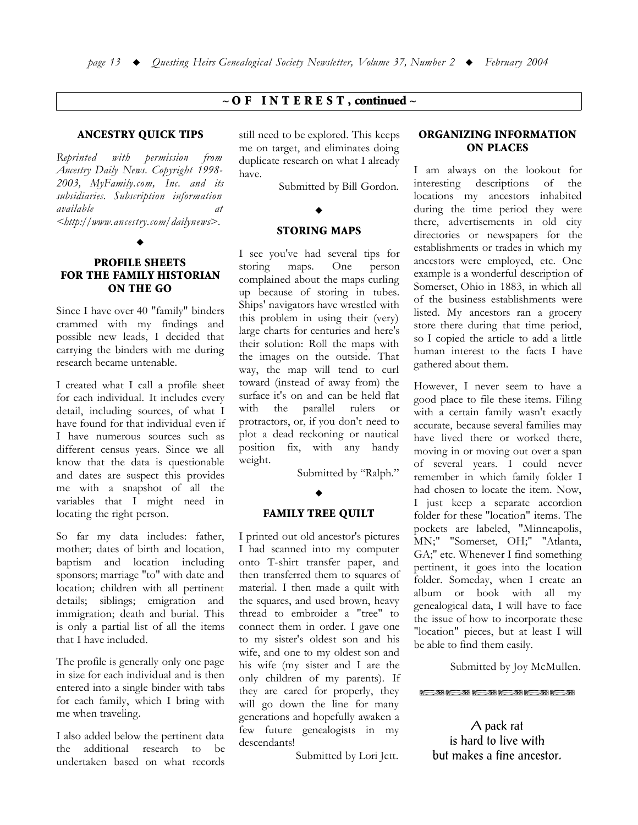# $\sim$  O F INTEREST, continued  $\sim$

#### **ANCESTRY QUICK TIPS**

Reprinted with permission from Ancestry Daily News. Copyright 1998-2003, MyFamily.com, Inc. and its subsidiaries. Subscription information available  $at$ <http://www.ancestry.com/dailynews>.

## **PROFILE SHEETS FOR THE FAMILY HISTORIAN ON THE GO**

Since I have over 40 "family" binders crammed with my findings and possible new leads, I decided that carrying the binders with me during research became untenable.

I created what I call a profile sheet for each individual. It includes every detail, including sources, of what I have found for that individual even if I have numerous sources such as different census years. Since we all know that the data is questionable and dates are suspect this provides me with a snapshot of all the variables that I might need in locating the right person.

So far my data includes: father, mother; dates of birth and location, baptism and location including sponsors; marriage "to" with date and location; children with all pertinent details; siblings; emigration and immigration; death and burial. This is only a partial list of all the items that I have included.

The profile is generally only one page in size for each individual and is then entered into a single binder with tabs for each family, which I bring with me when traveling.

I also added below the pertinent data the additional research  $t\alpha$ be undertaken based on what records still need to be explored. This keeps me on target, and eliminates doing duplicate research on what I already have.

Submitted by Bill Gordon.

### **STORING MAPS**

I see you've had several tips for maps. One storing person complained about the maps curling up because of storing in tubes. Ships' navigators have wrestled with this problem in using their (very) large charts for centuries and here's their solution: Roll the maps with the images on the outside. That way, the map will tend to curl toward (instead of away from) the surface it's on and can be held flat with the parallel rulers  $\alpha$ r protractors, or, if you don't need to plot a dead reckoning or nautical position fix, with any handy weight.

Submitted by "Ralph."

#### $\bullet$

#### **FAMILY TREE QUILT**

I printed out old ancestor's pictures I had scanned into my computer onto T-shirt transfer paper, and then transferred them to squares of material. I then made a quilt with the squares, and used brown, heavy thread to embroider a "tree" to connect them in order. I gave one to my sister's oldest son and his wife, and one to my oldest son and his wife (my sister and I are the only children of my parents). If they are cared for properly, they will go down the line for many generations and hopefully awaken a few future genealogists in my descendants!

Submitted by Lori Jett.

#### **ORGANIZING INFORMATION ON PLACES**

I am always on the lookout for interesting descriptions of the locations my ancestors inhabited during the time period they were there, advertisements in old city directories or newspapers for the establishments or trades in which my ancestors were employed, etc. One example is a wonderful description of Somerset, Ohio in 1883, in which all of the business establishments were listed. My ancestors ran a grocery store there during that time period, so I copied the article to add a little human interest to the facts I have gathered about them.

However, I never seem to have a good place to file these items. Filing with a certain family wasn't exactly accurate, because several families may have lived there or worked there. moving in or moving out over a span of several years. I could never remember in which family folder I had chosen to locate the item. Now, I just keep a separate accordion folder for these "location" items. The pockets are labeled, "Minneapolis, MN;" "Somerset, OH;" "Atlanta, GA;" etc. Whenever I find something pertinent, it goes into the location folder. Someday, when I create an album or book with all my genealogical data, I will have to face the issue of how to incorporate these "location" pieces, but at least I will be able to find them easily.

Submitted by Joy McMullen.

<u>2008 - 2008 - 2008 - 2008 - 2008 - 200</u>

A pack rat is hard to live with but makes a fine ancestor.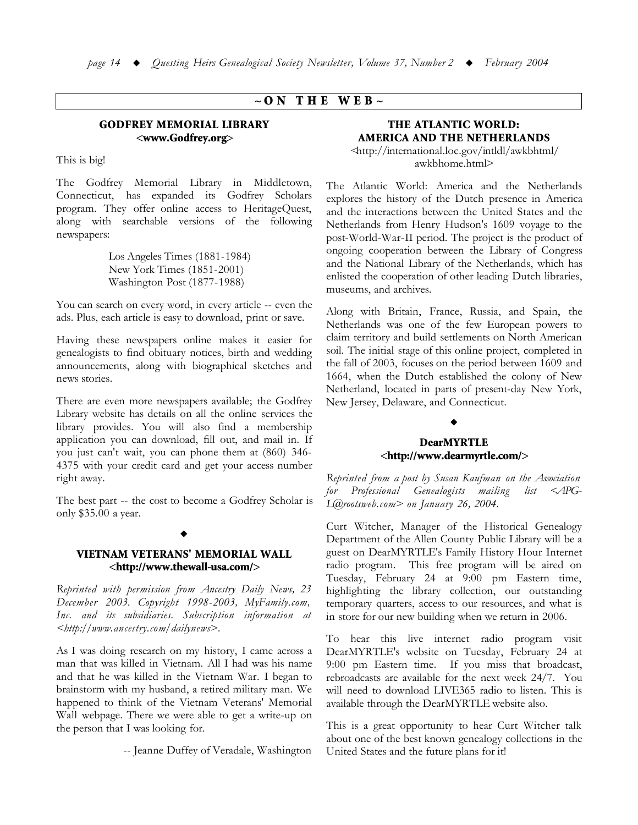# $\sim$  ON THE WEB $\sim$

#### GODFREY MEMORIAL LIBRARY <www.Godfrey.org>

This is big!

The Godfrey Memorial Library in Middletown, Connecticut, has expanded its Godfrey Scholars program. They offer online access to HeritageQuest, along with searchable versions of the following newspapers:

> Los Angeles Times (1881-1984) New York Times (1851-2001) Washington Post (1877-1988)

You can search on every word, in every article -- even the ads. Plus, each article is easy to download, print or save.

Having these newspapers online makes it easier for genealogists to find obituary notices, birth and wedding announcements, along with biographical sketches and news stories.

There are even more newspapers available; the Godfrey Library website has details on all the online services the library provides. You will also find a membership application you can download, fill out, and mail in. If you just can't wait, you can phone them at (860) 346-4375 with your credit card and get your access number right away.

The best part -- the cost to become a Godfrey Scholar is only \$35.00 a year.

# $\blacklozenge$

### VIETNAM VETERANS' MEMORIAL WALL <http://www.thewall-usa.com/>

*Reprinted with permission from Ancestry Daily News, 23 December 2003. Copyright 1998-2003, MyFamily.com, <u><i>Inc.* and its subsidiaries. Subscription information at</u>  $\langle \frac{b}{b}t|$ /www.ancestry.com/dailynews>.

As I was doing research on my history, I came across a man that was killed in Vietnam. All I had was his name and that he was killed in the Vietnam War. I began to brainstorm with my husband, a retired military man. We happened to think of the Vietnam Veterans' Memorial Wall webpage. There we were able to get a write-up on the person that I was looking for.

-- Jeanne Duffey of Veradale, Washington

# THE ATLANTIC WORLD: AMERICA AND THE NETHERLANDS

 $\frac{1}{2}$  -shttp://international.loc.gov/intldl/awkbhtml/ awkbhome.html>

The Atlantic World: America and the Netherlands explores the history of the Dutch presence in America and the interactions between the United States and the Netherlands from Henry Hudson's 1609 voyage to the post-World-War-II period. The project is the product of ongoing cooperation between the Library of Congress and the National Library of the Netherlands, which has enlisted the cooperation of other leading Dutch libraries, museums, and archives.

Along with Britain, France, Russia, and Spain, the Netherlands was one of the few European powers to claim territory and build settlements on North American soil. The initial stage of this online project, completed in the fall of 2003, focuses on the period between 1609 and 1664, when the Dutch established the colony of New Netherland, located in parts of present-day New York, New Jersey, Delaware, and Connecticut.

#### $\blacklozenge$

### DearMYRTLE <http://www.dearmyrtle.com/>

*Keprinted from a post by Susan Kaufman on the Association for* Professional Genealogists mailing list <APG-*Z@rootsweb.com> on January 26, 2004.* 

Curt Witcher, Manager of the Historical Genealogy Department of the Allen County Public Library will be a guest on DearMYRTLE's Family History Hour Internet radio program. This free program will be aired on Tuesday, February 24 at 9:00 pm Eastern time, highlighting the library collection, our outstanding temporary quarters, access to our resources, and what is in store for our new building when we return in 2006.

To hear this live internet radio program visit DearMYRTLE's website on Tuesday, February 24 at 9:00 pm Eastern time. If you miss that broadcast, rebroadcasts are available for the next week 24/7. You will need to download LIVE365 radio to listen. This is available through the DearMYRTLE website also.

This is a great opportunity to hear Curt Witcher talk about one of the best known genealogy collections in the United States and the future plans for it!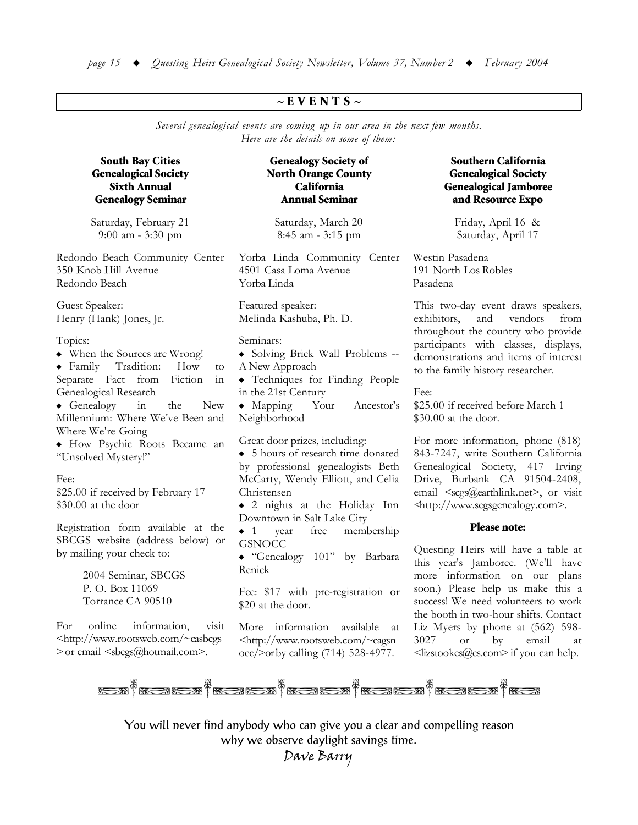# $\sim$  E V E N T S  $\sim$

Several genealogical events are coming up in our area in the next few months. Here are the details on some of them:

## **South Bay Cities Genealogical Society Sixth Annual Genealogy Seminar**

Saturday, February 21 9:00 am - 3:30 pm

Redondo Beach Community Center 350 Knob Hill Avenue Redondo Beach

Guest Speaker: Henry (Hank) Jones, Jr.

#### Topics:

- When the Sources are Wrong!
- $\bullet$  Family Tradition: How to Separate Fact from Fiction  $in$ Genealogical Research
- $\triangleleft$  Genealogy  $in$ the **New** Millennium: Where We've Been and Where We're Going

• How Psychic Roots Became an "Unsolved Mystery!"

#### Fee:

\$25.00 if received by February 17 \$30.00 at the door

Registration form available at the SBCGS website (address below) or by mailing your check to:

> 2004 Seminar, SBCGS P. O. Box 11069 Torrance CA 90510

 $For$ online information. visit <http://www.rootsweb.com/~casbcgs > or email <sbcgs@hotmail.com>.

# **Genealogy Society of North Orange County** California **Annual Seminar**

Saturday, March 20 8:45 am - 3:15 pm

Yorba Linda Community Center 4501 Casa Loma Avenue Yorba Linda

Featured speaker: Melinda Kashuba, Ph. D.

#### Seminars:

• Solving Brick Wall Problems --A New Approach

• Techniques for Finding People in the 21st Century

 $\bullet$  Mapping Your Ancestor's Neighborhood

Great door prizes, including:

• 5 hours of research time donated by professional genealogists Beth McCarty, Wendy Elliott, and Celia Christensen

 $\bullet$  2 nights at the Holiday Inn Downtown in Salt Lake City

 $\bullet$  1 year free membership **GSNOCC** 

 $\bullet$  "Genealogy 101" by Barbara Renick

Fee: \$17 with pre-registration or \$20 at the door.

More information available at <http://www.rootsweb.com/~cagsn occ/>orby calling (714) 528-4977.

# Southern California **Genealogical Society Genealogical Jamboree** and Resource Expo

Friday, April 16 & Saturday, April 17

Westin Pasadena 191 North Los Robles Pasadena

This two-day event draws speakers, exhibitors, vendors and from throughout the country who provide participants with classes, displays, demonstrations and items of interest to the family history researcher.

Fee:

\$25.00 if received before March 1 \$30.00 at the door.

For more information, phone (818) 843-7247, write Southern California Genealogical Society, 417 Irving Drive, Burbank CA 91504-2408, email <scgs@earthlink.net>, or visit <http://www.scgsgenealogy.com>.

#### **Please note:**

Questing Heirs will have a table at this year's Jamboree. (We'll have more information on our plans soon.) Please help us make this a success! We need volunteers to work the booth in two-hour shifts. Contact Liz Myers by phone at (562) 598-3027 **or** by email <sub>at</sub> <lizstookes@cs.com>if you can help.



You will never find anybody who can give you a clear and compelling reason why we observe daylight savings time.

Dave Barry